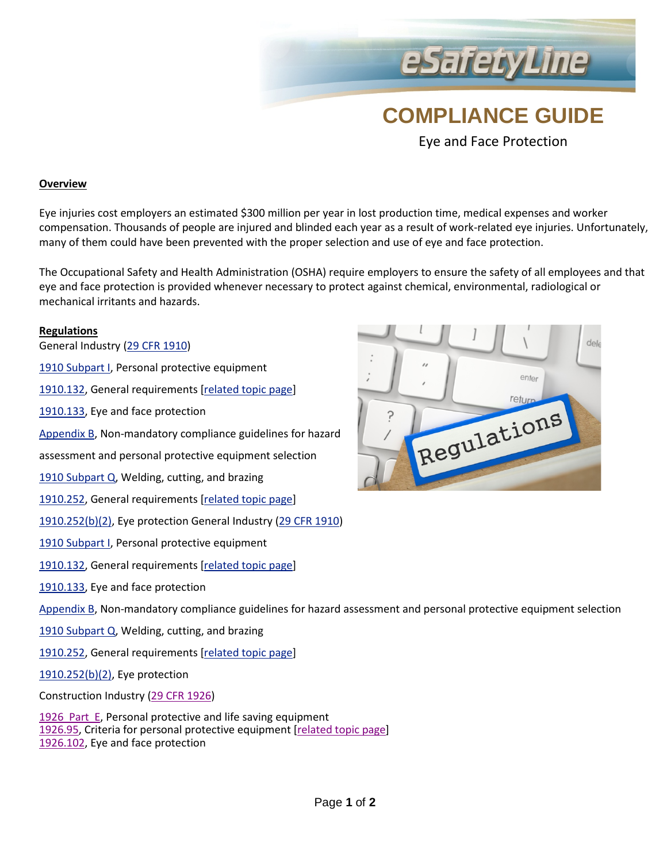## **COMPLIANCE GUIDE**

eSafetyLine

Eye and Face Protection

#### **Overview**

 Eye injuries cost employers an estimated \$300 million per year in lost production time, medical expenses and worker compensation. Thousands of people are injured and blinded each year as a result of work-related eye injuries. Unfortunately, many of them could have been prevented with the proper selection and use of eye and face protection.

The Occupational Safety and Health Administration (OSHA) require employers to ensure the safety of all employees and that eye and face protection is provided whenever necessary to protect against chemical, environmental, radiological or mechanical irritants and hazards.

### **Regulations**

General Industry [\(29 CFR 1910\)](https://www.osha.gov/pls/oshaweb/owastand.display_standard_group?p_toc_level=1&p_part_number=1910)

[1910 Subpart I,](https://www.osha.gov/pls/oshaweb/owastand.display_standard_group?p_toc_level=1&p_part_number=1910#1910_Subpart_I) Personal protective equipment

[1910.132,](https://www.osha.gov/pls/oshaweb/owadisp.show_document?p_table=STANDARDS&p_id=9777) General requirements [\[related topic page\]](https://www.osha.gov/SLTC/personalprotectiveequipment/index.html)

[1910.133,](https://www.osha.gov/pls/oshaweb/owadisp.show_document?p_table=STANDARDS&p_id=9778) Eye and face protection

[Appendix B,](https://www.osha.gov/pls/oshaweb/owadisp.show_document?p_table=STANDARDS&p_id=10120) Non-mandatory compliance guidelines for hazard

assessment and personal protective equipment selection

[1910 Subpart Q,](https://www.osha.gov/pls/oshaweb/owastand.display_standard_group?p_toc_level=1&p_part_number=1910#1910_Subpart_Q) Welding, cutting, and brazing

[1910.252,](https://www.osha.gov/pls/oshaweb/owadisp.show_document?p_table=STANDARDS&p_id=9853) General requirements [\[related topic page\]](https://www.osha.gov/SLTC/weldingcuttingbrazing/index.html)

[1910.252\(b\)\(2\),](https://www.osha.gov/pls/oshaweb/owadisp.show_document?p_table=STANDARDS&p_id=9853#1910.252(b)(2)) Eye protection General Industry [\(29 CFR 1910\)](https://www.osha.gov/pls/oshaweb/owastand.display_standard_group?p_toc_level=1&p_part_number=1910)

[1910 Subpart I,](https://www.osha.gov/pls/oshaweb/owastand.display_standard_group?p_toc_level=1&p_part_number=1910#1910_Subpart_I) Personal protective equipment

[1910.132,](https://www.osha.gov/pls/oshaweb/owadisp.show_document?p_table=STANDARDS&p_id=9777) General requirements [\[related topic page\]](https://www.osha.gov/SLTC/personalprotectiveequipment/index.html)

[1910.133,](https://www.osha.gov/pls/oshaweb/owadisp.show_document?p_table=STANDARDS&p_id=9778) Eye and face protection

[Appendix B,](https://www.osha.gov/pls/oshaweb/owadisp.show_document?p_table=STANDARDS&p_id=10120) Non-mandatory compliance guidelines for hazard assessment and personal protective equipment selection

[1910 Subpart Q,](https://www.osha.gov/pls/oshaweb/owastand.display_standard_group?p_toc_level=1&p_part_number=1910#1910_Subpart_Q) Welding, cutting, and brazing

[1910.252,](https://www.osha.gov/pls/oshaweb/owadisp.show_document?p_table=STANDARDS&p_id=9853) General requirements [\[related topic page\]](https://www.osha.gov/SLTC/weldingcuttingbrazing/index.html)

[1910.252\(b\)\(2\),](https://www.osha.gov/pls/oshaweb/owadisp.show_document?p_table=STANDARDS&p_id=9853#1910.252(b)(2)) Eye protection

Construction Industry [\(29 CFR 1926\)](https://www.osha.gov/pls/oshaweb/owastand.display_standard_group?p_toc_level=1&p_part_number=1926)

[1926 Part E,](https://www.osha.gov/pls/oshaweb/owastand.display_standard_group?p_toc_level=1&p_part_number=1926#1926_Subpart_E) Personal protective and life saving equipment [1926.95,](https://www.osha.gov/pls/oshaweb/owadisp.show_document?p_table=STANDARDS&p_id=10658) Criteria for personal protective equipment [\[related topic page\]](https://www.osha.gov/SLTC/personalprotectiveequipment/construction.html) [1926.102,](https://www.osha.gov/pls/oshaweb/owadisp.show_document?p_table=STANDARDS&p_id=10665) Eye and face protection